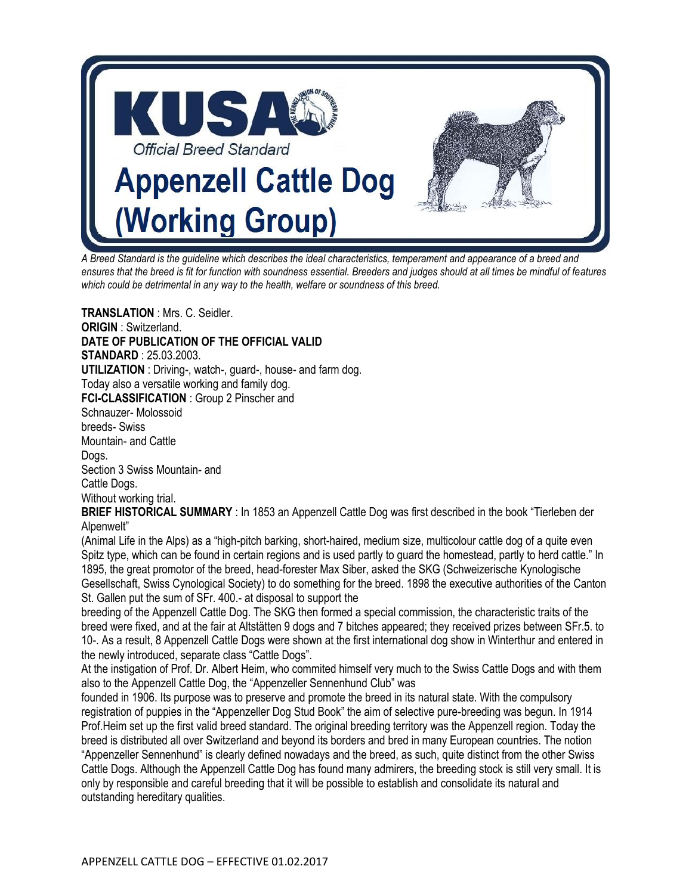

*A Breed Standard is the guideline which describes the ideal characteristics, temperament and appearance of a breed and ensures that the breed is fit for function with soundness essential. Breeders and judges should at all times be mindful of features which could be detrimental in any way to the health, welfare or soundness of this breed.* 

**TRANSLATION** : Mrs. C. Seidler. **ORIGIN** : Switzerland. **DATE OF PUBLICATION OF THE OFFICIAL VALID STANDARD** : 25.03.2003. **UTILIZATION** : Driving-, watch-, guard-, house- and farm dog. Today also a versatile working and family dog. **FCI-CLASSIFICATION** : Group 2 Pinscher and Schnauzer- Molossoid breeds- Swiss Mountain- and Cattle Dogs. Section 3 Swiss Mountain- and Cattle Dogs. Without working trial. **BRIEF HISTORICAL SUMMARY** : In 1853 an Appenzell Cattle Dog was first described in the book "Tierleben der Alpenwelt" (Animal Life in the Alps) as a "high-pitch barking, short-haired, medium size, multicolour cattle dog of a quite even

Spitz type, which can be found in certain regions and is used partly to guard the homestead, partly to herd cattle." In 1895, the great promotor of the breed, head-forester Max Siber, asked the SKG (Schweizerische Kynologische Gesellschaft, Swiss Cynological Society) to do something for the breed. 1898 the executive authorities of the Canton St. Gallen put the sum of SFr. 400.- at disposal to support the

breeding of the Appenzell Cattle Dog. The SKG then formed a special commission, the characteristic traits of the breed were fixed, and at the fair at Altstätten 9 dogs and 7 bitches appeared; they received prizes between SFr.5. to 10-. As a result, 8 Appenzell Cattle Dogs were shown at the first international dog show in Winterthur and entered in the newly introduced, separate class "Cattle Dogs".

At the instigation of Prof. Dr. Albert Heim, who commited himself very much to the Swiss Cattle Dogs and with them also to the Appenzell Cattle Dog, the "Appenzeller Sennenhund Club" was

founded in 1906. Its purpose was to preserve and promote the breed in its natural state. With the compulsory registration of puppies in the "Appenzeller Dog Stud Book" the aim of selective pure-breeding was begun. In 1914 Prof.Heim set up the first valid breed standard. The original breeding territory was the Appenzell region. Today the breed is distributed all over Switzerland and beyond its borders and bred in many European countries. The notion "Appenzeller Sennenhund" is clearly defined nowadays and the breed, as such, quite distinct from the other Swiss Cattle Dogs. Although the Appenzell Cattle Dog has found many admirers, the breeding stock is still very small. It is only by responsible and careful breeding that it will be possible to establish and consolidate its natural and outstanding hereditary qualities.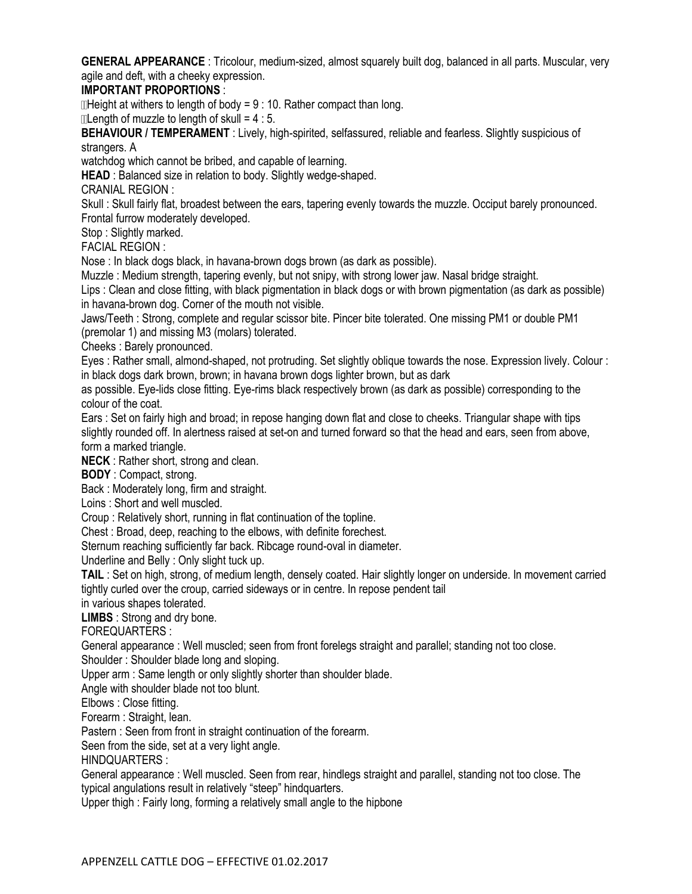**GENERAL APPEARANCE** : Tricolour, medium-sized, almost squarely built dog, balanced in all parts. Muscular, very agile and deft, with a cheeky expression.

## **IMPORTANT PROPORTIONS** :

 $\Box$  Height at withers to length of body = 9 : 10. Rather compact than long.

 $\mathbb{R}$  Length of muzzle to length of skull = 4 : 5.

**BEHAVIOUR / TEMPERAMENT** : Lively, high-spirited, selfassured, reliable and fearless. Slightly suspicious of strangers. A

watchdog which cannot be bribed, and capable of learning.

**HEAD** : Balanced size in relation to body. Slightly wedge-shaped.

CRANIAL REGION :

Skull : Skull fairly flat, broadest between the ears, tapering evenly towards the muzzle. Occiput barely pronounced. Frontal furrow moderately developed.

Stop : Slightly marked.

FACIAL REGION :

Nose : In black dogs black, in havana-brown dogs brown (as dark as possible).

Muzzle : Medium strength, tapering evenly, but not snipy, with strong lower jaw. Nasal bridge straight.

Lips : Clean and close fitting, with black pigmentation in black dogs or with brown pigmentation (as dark as possible) in havana-brown dog. Corner of the mouth not visible.

Jaws/Teeth : Strong, complete and regular scissor bite. Pincer bite tolerated. One missing PM1 or double PM1 (premolar 1) and missing M3 (molars) tolerated.

Cheeks : Barely pronounced.

Eyes : Rather small, almond-shaped, not protruding. Set slightly oblique towards the nose. Expression lively. Colour : in black dogs dark brown, brown; in havana brown dogs lighter brown, but as dark

as possible. Eye-lids close fitting. Eye-rims black respectively brown (as dark as possible) corresponding to the colour of the coat.

Ears : Set on fairly high and broad; in repose hanging down flat and close to cheeks. Triangular shape with tips slightly rounded off. In alertness raised at set-on and turned forward so that the head and ears, seen from above, form a marked triangle.

**NECK** : Rather short, strong and clean.

**BODY** : Compact, strong.

Back : Moderately long, firm and straight.

Loins : Short and well muscled.

Croup : Relatively short, running in flat continuation of the topline.

Chest : Broad, deep, reaching to the elbows, with definite forechest.

Sternum reaching sufficiently far back. Ribcage round-oval in diameter.

Underline and Belly : Only slight tuck up.

**TAIL** : Set on high, strong, of medium length, densely coated. Hair slightly longer on underside. In movement carried tightly curled over the croup, carried sideways or in centre. In repose pendent tail

in various shapes tolerated.

**LIMBS** : Strong and dry bone.

FOREQUARTERS :

General appearance : Well muscled; seen from front forelegs straight and parallel; standing not too close.

Shoulder : Shoulder blade long and sloping.

Upper arm : Same length or only slightly shorter than shoulder blade.

Angle with shoulder blade not too blunt.

Elbows : Close fitting.

Forearm : Straight, lean.

Pastern : Seen from front in straight continuation of the forearm.

Seen from the side, set at a very light angle.

HINDQUARTERS :

General appearance : Well muscled. Seen from rear, hindlegs straight and parallel, standing not too close. The typical angulations result in relatively "steep" hindquarters.

Upper thigh : Fairly long, forming a relatively small angle to the hipbone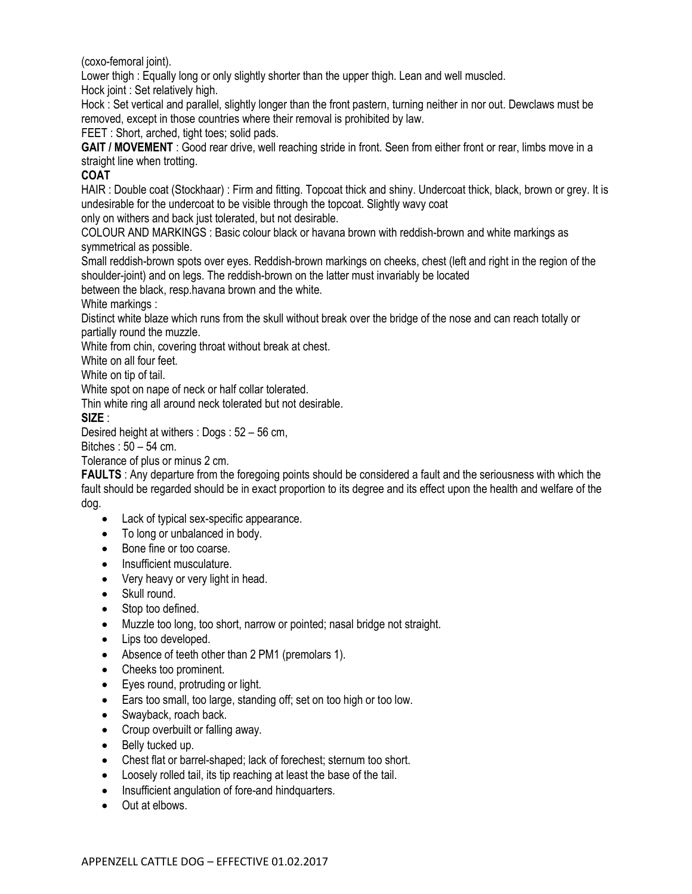(coxo-femoral joint).

Lower thigh : Equally long or only slightly shorter than the upper thigh. Lean and well muscled.

Hock joint : Set relatively high.

Hock : Set vertical and parallel, slightly longer than the front pastern, turning neither in nor out. Dewclaws must be removed, except in those countries where their removal is prohibited by law.

FEET : Short, arched, tight toes; solid pads.

**GAIT / MOVEMENT** : Good rear drive, well reaching stride in front. Seen from either front or rear, limbs move in a straight line when trotting.

## **COAT**

HAIR : Double coat (Stockhaar) : Firm and fitting. Topcoat thick and shiny. Undercoat thick, black, brown or grey. It is undesirable for the undercoat to be visible through the topcoat. Slightly wavy coat

only on withers and back just tolerated, but not desirable.

COLOUR AND MARKINGS : Basic colour black or havana brown with reddish-brown and white markings as symmetrical as possible.

Small reddish-brown spots over eyes. Reddish-brown markings on cheeks, chest (left and right in the region of the shoulder-joint) and on legs. The reddish-brown on the latter must invariably be located

between the black, resp.havana brown and the white.

White markings :

Distinct white blaze which runs from the skull without break over the bridge of the nose and can reach totally or partially round the muzzle.

White from chin, covering throat without break at chest.

White on all four feet.

White on tip of tail.

White spot on nape of neck or half collar tolerated.

Thin white ring all around neck tolerated but not desirable.

**SIZE** :

Desired height at withers : Dogs : 52 – 56 cm,

Bitches : 50 – 54 cm.

Tolerance of plus or minus 2 cm.

**FAULTS** : Any departure from the foregoing points should be considered a fault and the seriousness with which the fault should be regarded should be in exact proportion to its degree and its effect upon the health and welfare of the dog.

- Lack of typical sex-specific appearance.
- To long or unbalanced in body.
- Bone fine or too coarse.
- Insufficient musculature.
- Very heavy or very light in head.
- Skull round.
- Stop too defined.
- Muzzle too long, too short, narrow or pointed; nasal bridge not straight.
- Lips too developed.
- Absence of teeth other than 2 PM1 (premolars 1).
- Cheeks too prominent.
- Eyes round, protruding or light.
- Ears too small, too large, standing off; set on too high or too low.
- Swayback, roach back.
- Croup overbuilt or falling away.
- Belly tucked up.
- Chest flat or barrel-shaped; lack of forechest; sternum too short.
- Loosely rolled tail, its tip reaching at least the base of the tail.
- Insufficient angulation of fore-and hindquarters.
- Out at elbows.